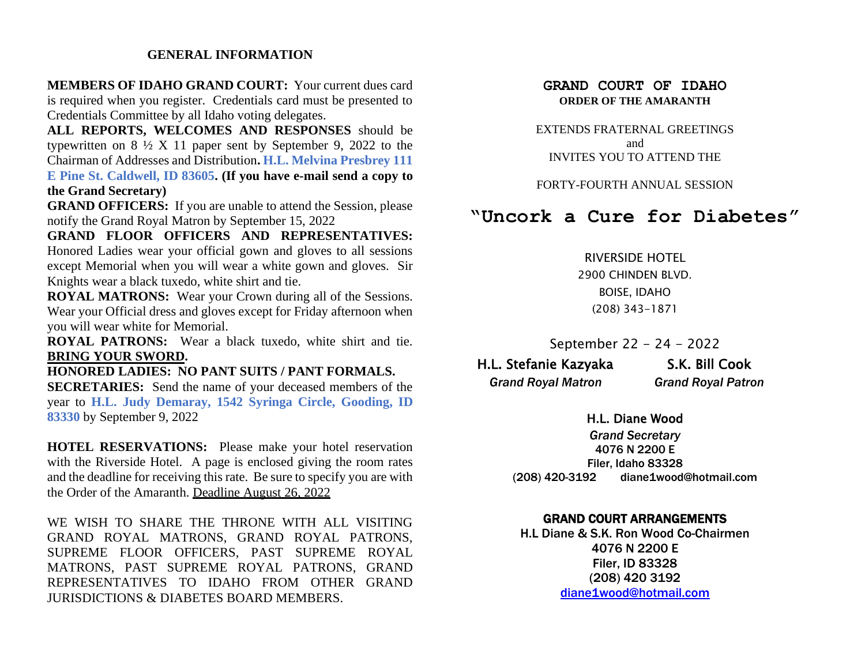#### **GENERAL INFORMATION**

**MEMBERS OF IDAHO GRAND COURT:** Your current dues card is required when you register. Credentials card must be presented to Credentials Committee by all Idaho voting delegates.

**ALL REPORTS, WELCOMES AND RESPONSES** should be typewritten on  $8\frac{1}{2}$  X 11 paper sent by September 9, 2022 to the Chairman of Addresses and Distribution**. H.L. Melvina Presbrey 111 E Pine St. Caldwell, ID 83605. (If you have e-mail send a copy to** 

**the Grand Secretary)**

**GRAND OFFICERS:** If you are unable to attend the Session, please notify the Grand Royal Matron by September 15, 2022

**GRAND FLOOR OFFICERS AND REPRESENTATIVES:**  Honored Ladies wear your official gown and gloves to all sessions except Memorial when you will wear a white gown and gloves. Sir Knights wear a black tuxedo, white shirt and tie.

**ROYAL MATRONS:** Wear your Crown during all of the Sessions. Wear your Official dress and gloves except for Friday afternoon when you will wear white for Memorial.

**ROYAL PATRONS:** Wear a black tuxedo, white shirt and tie. **BRING YOUR SWORD.**

**HONORED LADIES: NO PANT SUITS / PANT FORMALS.**

**SECRETARIES:** Send the name of your deceased members of the year to **H.L. Judy Demaray, 1542 Syringa Circle, Gooding, ID 83330** by September 9, 2022

**HOTEL RESERVATIONS:** Please make your hotel reservation with the Riverside Hotel. A page is enclosed giving the room rates and the deadline for receiving this rate. Be sure to specify you are with the Order of the Amaranth. Deadline August 26, 2022

WE WISH TO SHARE THE THRONE WITH ALL VISITING GRAND ROYAL MATRONS, GRAND ROYAL PATRONS, SUPREME FLOOR OFFICERS, PAST SUPREME ROYAL MATRONS, PAST SUPREME ROYAL PATRONS, GRAND REPRESENTATIVES TO IDAHO FROM OTHER GRAND JURISDICTIONS & DIABETES BOARD MEMBERS.

## **GRAND COURT OF IDAHO ORDER OF THE AMARANTH**

EXTENDS FRATERNAL GREETINGS and INVITES YOU TO ATTEND THE

FORTY-FOURTH ANNUAL SESSION

# **"Uncork a Cure for Diabetes"**

RIVERSIDE HOTEL 2900 CHINDEN BLVD. BOISE, IDAHO (208) 343-1871

September 22 - 24 - 2022

 H.L. Stefanie Kazyaka S.K. Bill Cook *Grand Royal Matron Grand Royal Patron*

#### H.L. Diane Wood

*Grand Secretary* 4076 N 2200 E Filer, Idaho 83328 (208) 420-3192 diane1wood@hotmail.com

## GRAND COURT ARRANGEMENTS

H.L Diane & S.K. Ron Wood Co-Chairmen 4076 N 2200 E Filer, ID 83328 (208) 420 3192 [diane1wood@hotmail.com](mailto:diane1wood@hotmail.com)